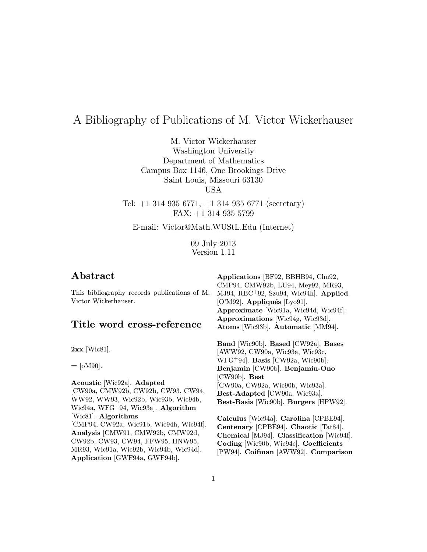# A Bibliography of Publications of M. Victor Wickerhauser

M. Victor Wickerhauser Washington University Department of Mathematics Campus Box 1146, One Brookings Drive Saint Louis, Missouri 63130 USA

Tel: +1 314 935 6771, +1 314 935 6771 (secretary) FAX: +1 314 935 5799

E-mail: Victor@Math.WUStL.Edu (Internet)

09 July 2013 Version 1.11

| Abstract                                                                                      | Applications [BF92, BBHB94, Chu92,                                                                                                                       |
|-----------------------------------------------------------------------------------------------|----------------------------------------------------------------------------------------------------------------------------------------------------------|
| This bibliography records publications of M.<br>Victor Wickerhauser.                          | CMP94, CMW92b, LU94, Mey92, MR93,<br>MJ94, RBC+92, Szu94, Wic94h]. Applied<br>$[O'M92]$ . Appliqués $[Ly091]$ .<br>Approximate [Wic91a, Wic94d, Wic94f]. |
| Title word cross-reference                                                                    | Approximations [Wic94g, Wic93d].<br>Atoms [Wic93b]. Automatic [MM94].                                                                                    |
| $2xx$ [Wic81].                                                                                | Band [Wic90b]. Based [CW92a]. Bases<br>[AWW92, CW90a, Wic93a, Wic93c,                                                                                    |
| $=$ [oM90].                                                                                   | $WFG+94$ . Basis [CW92a, Wic90b].<br>Benjamin [CW90b]. Benjamin-Ono                                                                                      |
| Acoustic [Wic92a]. Adapted                                                                    | $[CW90b]$ . Best<br>[CW90a, CW92a, Wic90b, Wic93a].                                                                                                      |
| [CW90a, CMW92b, CW92b, CW93, CW94,                                                            | Best-Adapted [CW90a, Wic93a].                                                                                                                            |
| WW92, WW93, Wic92b, Wic93b, Wic94b,<br>Wic94a, WFG <sup>+</sup> 94, Wic93a]. <b>Algorithm</b> | Best-Basis [Wic90b]. Burgers [HPW92].                                                                                                                    |
| [Wic81]. Algorithms                                                                           | Calculus [Wic94a]. Carolina [CPBE94].                                                                                                                    |
| [CMP94, CW92a, Wic91b, Wic94h, Wic94f].                                                       | Centenary [CPBE94]. Chaotic [Tat84].                                                                                                                     |
| Analysis [CMW91, CMW92b, CMW92d,                                                              | Chemical [MJ94]. Classification [Wic94f].                                                                                                                |
| CW92b, CW93, CW94, FFW95, HNW95,                                                              | Coding [Wic90b, Wic94c]. Coefficients                                                                                                                    |
| MR93, Wic91a, Wic92b, Wic94b, Wic94d].<br>Application [GWF94a, GWF94b].                       | [PW94]. Coifman [AWW92]. Comparison                                                                                                                      |
|                                                                                               |                                                                                                                                                          |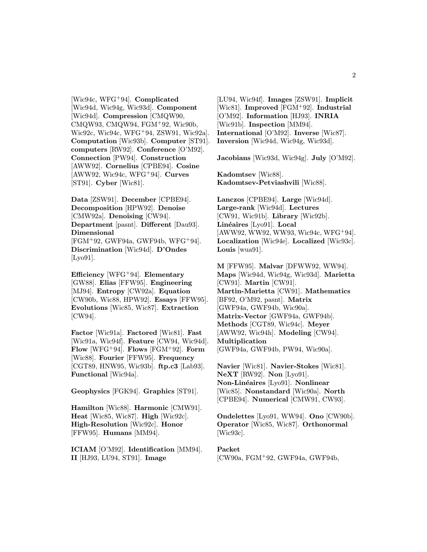[Wic94c, WFG<sup>+</sup>94]. Complicated [Wic94d, Wic94g, Wic93d]. Component [Wic94d]. Compression [CMQW90, CMQW93, CMQW94, FGM<sup>+</sup>92, Wic90b, Wic92c, Wic94c, WFG<sup>+</sup>94, ZSW91, Wic92a]. Computation [Wic93b]. Computer [ST91]. computers [RW92]. Conference [O'M92]. Connection [PW94]. Construction [AWW92]. Cornelius [CPBE94]. Cosine  $[AWW92, Wic94c, WFG<sup>+</sup>94]$ . Curves [ST91]. Cyber [Wic81].

Data [ZSW91]. December [CPBE94]. Decomposition [HPW92]. Denoise [CMW92a]. **Denoising** [CW94]. Department [pasnt]. Different [Dau93]. Dimensional [FGM<sup>+</sup>92, GWF94a, GWF94b, WFG<sup>+</sup>94]. Discrimination [Wic94d]. D'Ondes [Lyo91].

Efficiency [WFG<sup>+</sup>94]. Elementary [GW88]. Elias [FFW95]. Engineering [MJ94]. Entropy [CW92a]. Equation [CW90b, Wic88, HPW92]. Essays [FFW95]. Evolutions [Wic85, Wic87]. Extraction [CW94].

Factor [Wic91a]. Factored [Wic81]. Fast [Wic91a, Wic94f]. Feature [CW94, Wic94d]. Flow [WFG<sup>+</sup>94]. Flows [FGM<sup>+</sup>92]. Form [Wic88]. Fourier [FFW95]. Frequency [CGT89, HNW95, Wic93b]. ftp.c3 [Lab93]. Functional [Wic94a].

Geophysics [FGK94]. Graphics [ST91].

Hamilton [Wic88]. Harmonic [CMW91]. Heat [Wic85, Wic87]. High [Wic92c]. High-Resolution [Wic92c]. Honor [FFW95]. Humans [MM94].

ICIAM [O'M92]. Identification [MM94]. II [HJ93, LU94, ST91]. Image

[LU94, Wic94f]. Images [ZSW91]. Implicit [Wic81]. Improved [FGM<sup>+</sup>92]. Industrial [O'M92]. Information [HJ93]. INRIA [Wic91b]. Inspection [MM94]. International [O'M92]. Inverse [Wic87]. Inversion [Wic94d, Wic94g, Wic93d].

Jacobians [Wic93d, Wic94g]. July [O'M92].

Kadomtsev [Wic88]. Kadomtsev-Petviashvili [Wic88].

Lanczos [CPBE94]. Large [Wic94d]. Large-rank [Wic94d]. Lectures [CW91, Wic91b]. Library [Wic92b]. Linéaires [Lyo91]. Local [AWW92, WW92, WW93, Wic94c, WFG<sup>+</sup>94]. Localization [Wic94e]. Localized [Wic93c]. Louis [wua91].

M [FFW95]. Malvar [DFWW92, WW94]. Maps [Wic94d, Wic94g, Wic93d]. Marietta [CW91]. Martin [CW91]. Martin-Marietta [CW91]. Mathematics [BF92, O'M92, pasnt]. Matrix [GWF94a, GWF94b, Wic90a]. Matrix-Vector [GWF94a, GWF94b]. Methods [CGT89, Wic94c]. Meyer [AWW92, Wic94h]. Modeling [CW94]. Multiplication [GWF94a, GWF94b, PW94, Wic90a].

Navier [Wic81]. Navier-Stokes [Wic81]. NeXT [RW92]. Non [Lyo91]. Non-Linéaires [Lyo91]. Nonlinear [Wic85]. Nonstandard [Wic90a]. North [CPBE94]. Numerical [CMW91, CW93].

Ondelettes [Lyo91, WW94]. Ono [CW90b]. Operator [Wic85, Wic87]. Orthonormal [Wic93c].

Packet [CW90a, FGM<sup>+</sup>92, GWF94a, GWF94b,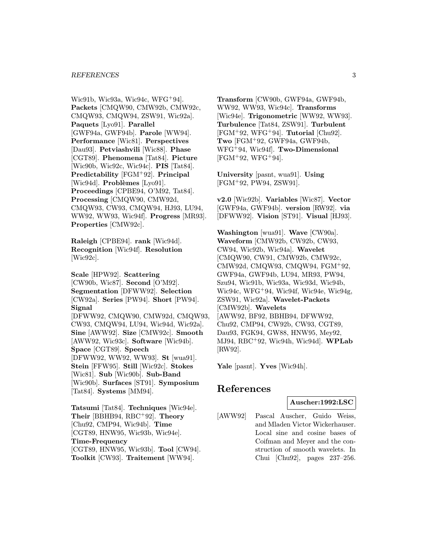#### REFERENCES 3

Wic91b, Wic93a, Wic94c, WFG<sup>+</sup>94]. Packets [CMQW90, CMW92b, CMW92c, CMQW93, CMQW94, ZSW91, Wic92a]. Paquets [Lyo91]. Parallel [GWF94a, GWF94b]. Parole [WW94]. Performance [Wic81]. Perspectives [Dau93]. Petviashvili [Wic88]. Phase [CGT89]. Phenomena [Tat84]. Picture [Wic90b, Wic92c, Wic94c]. PIS [Tat84]. Predictability [FGM<sup>+</sup>92]. Principal [Wic94d]. Problèmes [Lyo91]. Proceedings [CPBE94, O'M92, Tat84]. Processing [CMQW90, CMW92d, CMQW93, CW93, CMQW94, HJ93, LU94, WW92, WW93, Wic94f]. Progress [MR93]. Properties [CMW92c].

Raleigh [CPBE94]. rank [Wic94d]. Recognition [Wic94f]. Resolution [Wic92c].

Scale [HPW92]. Scattering [CW90b, Wic87]. Second [O'M92]. Segmentation [DFWW92]. Selection [CW92a]. Series [PW94]. Short [PW94]. Signal [DFWW92, CMQW90, CMW92d, CMQW93, CW93, CMQW94, LU94, Wic94d, Wic92a]. Sine [AWW92]. Size [CMW92c]. Smooth [AWW92, Wic93c]. Software [Wic94b]. Space [CGT89]. Speech [DFWW92, WW92, WW93]. St [wua91]. Stein [FFW95]. Still [Wic92c]. Stokes [Wic81]. Sub [Wic90b]. Sub-Band [Wic90b]. Surfaces [ST91]. Symposium [Tat84]. Systems [MM94].

Tatsumi [Tat84]. Techniques [Wic94e]. Their [BBHB94,  $RBC+92$ ]. Theory [Chu92, CMP94, Wic94b]. Time [CGT89, HNW95, Wic93b, Wic94e]. Time-Frequency [CGT89, HNW95, Wic93b]. Tool [CW94]. Toolkit [CW93]. Traitement [WW94].

Transform [CW90b, GWF94a, GWF94b, WW92, WW93, Wic94c]. Transforms [Wic94e]. Trigonometric [WW92, WW93]. Turbulence [Tat84, ZSW91]. Turbulent  $[FGM^+92, WFG^+94]$ . Tutorial  $[Chu92]$ . Two [FGM<sup>+</sup>92, GWF94a, GWF94b, WFG<sup>+</sup>94, Wic94f]. Two-Dimensional  $[FGM+92, WFG+94].$ 

University [pasnt, wua91]. Using [FGM<sup>+</sup>92, PW94, ZSW91].

v2.0 [Wic92b]. Variables [Wic87]. Vector [GWF94a, GWF94b]. version [RW92]. via [DFWW92]. Vision [ST91]. Visual [HJ93].

Washington [wua91]. Wave [CW90a]. Waveform [CMW92b, CW92b, CW93, CW94, Wic92b, Wic94a]. Wavelet [CMQW90, CW91, CMW92b, CMW92c, CMW92d, CMQW93, CMQW94, FGM<sup>+</sup>92, GWF94a, GWF94b, LU94, MR93, PW94, Szu94, Wic91b, Wic93a, Wic93d, Wic94b, Wic94c, WFG<sup>+</sup>94, Wic94f, Wic94e, Wic94g, ZSW91, Wic92a]. Wavelet-Packets [CMW92b]. Wavelets [AWW92, BF92, BBHB94, DFWW92, Chu92, CMP94, CW92b, CW93, CGT89, Dau93, FGK94, GW88, HNW95, Mey92, MJ94, RBC<sup>+</sup>92, Wic94h, Wic94d]. WPLab [RW92].

Yale [pasnt]. Yves [Wic94h].

# References

## Auscher:1992:LSC

[AWW92] Pascal Auscher, Guido Weiss, and Mladen Victor Wickerhauser. Local sine and cosine bases of Coifman and Meyer and the construction of smooth wavelets. In Chui [Chu92], pages 237–256.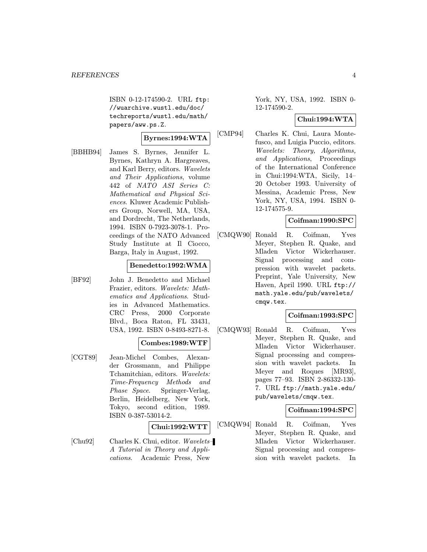ISBN 0-12-174590-2. URL ftp: //wuarchive.wustl.edu/doc/ techreports/wustl.edu/math/ papers/aww.ps.Z.

#### Byrnes:1994:WTA

[BBHB94] James S. Byrnes, Jennifer L. Byrnes, Kathryn A. Hargreaves, and Karl Berry, editors. Wavelets and Their Applications, volume 442 of NATO ASI Series C: Mathematical and Physical Sciences. Kluwer Academic Publishers Group, Norwell, MA, USA, and Dordrecht, The Netherlands, 1994. ISBN 0-7923-3078-1. Proceedings of the NATO Advanced Study Institute at Il Ciocco, Barga, Italy in August, 1992.

# Benedetto:1992:WMA

[BF92] John J. Benedetto and Michael Frazier, editors. Wavelets: Mathematics and Applications. Studies in Advanced Mathematics. CRC Press, 2000 Corporate Blvd., Boca Raton, FL 33431, USA, 1992. ISBN 0-8493-8271-8.

#### Combes:1989:WTF

[CGT89] Jean-Michel Combes, Alexander Grossmann, and Philippe Tchamitchian, editors. Wavelets: Time-Frequency Methods and Phase Space. Springer-Verlag, Berlin, Heidelberg, New York, Tokyo, second edition, 1989. ISBN 0-387-53014-2.

#### Chui:1992:WTT

[Chu92] Charles K. Chui, editor. Wavelets– A Tutorial in Theory and Applications. Academic Press, New

York, NY, USA, 1992. ISBN 0- 12-174590-2.

#### Chui:1994:WTA

[CMP94] Charles K. Chui, Laura Montefusco, and Luigia Puccio, editors. Wavelets: Theory, Algorithms, and Applications, Proceedings of the International Conference in Chui:1994:WTA, Sicily, 14– 20 October 1993. University of Messina, Academic Press, New York, NY, USA, 1994. ISBN 0- 12-174575-9.

# Coifman:1990:SPC

[CMQW90] Ronald R. Coifman, Yves Meyer, Stephen R. Quake, and Mladen Victor Wickerhauser. Signal processing and compression with wavelet packets. Preprint, Yale University, New Haven, April 1990. URL ftp:// math.yale.edu/pub/wavelets/ cmqw.tex.

## Coifman:1993:SPC

[CMQW93] Ronald R. Coifman, Yves Meyer, Stephen R. Quake, and Mladen Victor Wickerhauser. Signal processing and compression with wavelet packets. In Meyer and Roques [MR93], pages 77–93. ISBN 2-86332-130- 7. URL ftp://math.yale.edu/ pub/wavelets/cmqw.tex.

## Coifman:1994:SPC

[CMQW94] Ronald R. Coifman, Yves Meyer, Stephen R. Quake, and Mladen Victor Wickerhauser. Signal processing and compression with wavelet packets. In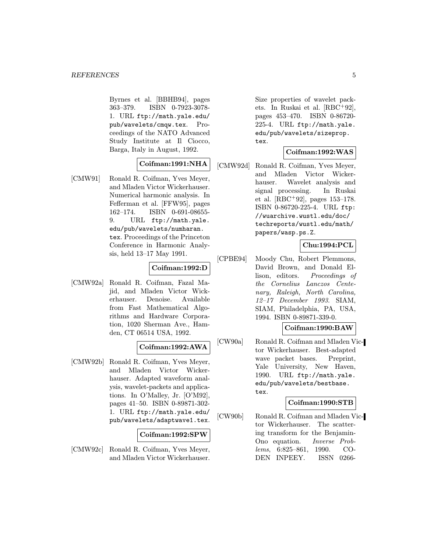Byrnes et al. [BBHB94], pages 363–379. ISBN 0-7923-3078- 1. URL ftp://math.yale.edu/ pub/wavelets/cmqw.tex. Proceedings of the NATO Advanced Study Institute at Il Ciocco, Barga, Italy in August, 1992.

## Coifman:1991:NHA

[CMW91] Ronald R. Coifman, Yves Meyer, and Mladen Victor Wickerhauser. Numerical harmonic analysis. In Fefferman et al. [FFW95], pages 162–174. ISBN 0-691-08655- 9. URL ftp://math.yale. edu/pub/wavelets/numharan. tex. Proceedings of the Princeton Conference in Harmonic Analysis, held 13–17 May 1991.

#### Coifman:1992:D

[CMW92a] Ronald R. Coifman, Fazal Majid, and Mladen Victor Wickerhauser. Denoise. Available from Fast Mathematical Algorithms and Hardware Corporation, 1020 Sherman Ave., Hamden, CT 06514 USA, 1992.

## Coifman:1992:AWA

[CMW92b] Ronald R. Coifman, Yves Meyer, and Mladen Victor Wickerhauser. Adapted waveform analysis, wavelet-packets and applications. In O'Malley, Jr. [O'M92], pages 41–50. ISBN 0-89871-302- 1. URL ftp://math.yale.edu/ pub/wavelets/adaptwave1.tex.

#### Coifman:1992:SPW

[CMW92c] Ronald R. Coifman, Yves Meyer, and Mladen Victor Wickerhauser.

Size properties of wavelet packets. In Ruskai et al. [RBC<sup>+</sup>92], pages 453–470. ISBN 0-86720- 225-4. URL ftp://math.yale. edu/pub/wavelets/sizeprop. tex.

# Coifman:1992:WAS

[CMW92d] Ronald R. Coifman, Yves Meyer, and Mladen Victor Wickerhauser. Wavelet analysis and signal processing. In Ruskai et al. [RBC<sup>+</sup>92], pages 153–178. ISBN 0-86720-225-4. URL ftp: //wuarchive.wustl.edu/doc/ techreports/wustl.edu/math/ papers/wasp.ps.Z.

# Chu:1994:PCL

[CPBE94] Moody Chu, Robert Plemmons, David Brown, and Donald Ellison, editors. Proceedings of the Cornelius Lanczos Centenary, Raleigh, North Carolina, 12–17 December 1993. SIAM, SIAM, Philadelphia, PA, USA, 1994. ISBN 0-89871-339-0.

## Coifman:1990:BAW

[CW90a] Ronald R. Coifman and Mladen Victor Wickerhauser. Best-adapted wave packet bases. Preprint, Yale University, New Haven, 1990. URL ftp://math.yale. edu/pub/wavelets/bestbase. tex.

## Coifman:1990:STB

[CW90b] Ronald R. Coifman and Mladen Victor Wickerhauser. The scattering transform for the Benjamin-Ono equation. Inverse Problems, 6:825–861, 1990. CO-DEN INPEEY. ISSN 0266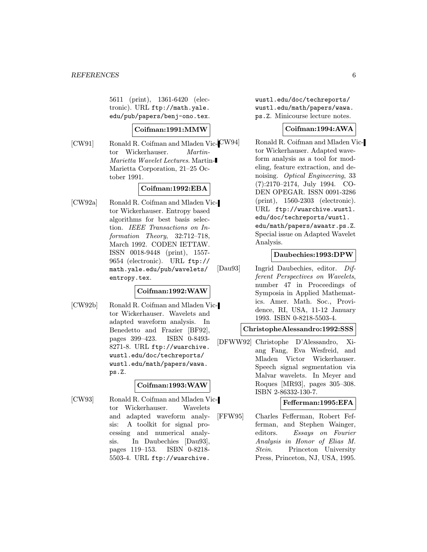5611 (print), 1361-6420 (electronic). URL ftp://math.yale. edu/pub/papers/benj-ono.tex.

## Coifman:1991:MMW

[CW91] Ronald R. Coifman and Mladen Vic-CW94] tor Wickerhauser. Martin-Marietta Wavelet Lectures. Martin-Marietta Corporation, 21–25 October 1991.

## Coifman:1992:EBA

[CW92a] Ronald R. Coifman and Mladen Victor Wickerhauser. Entropy based algorithms for best basis selection. IEEE Transactions on Information Theory, 32:712–718, March 1992. CODEN IETTAW. ISSN 0018-9448 (print), 1557- 9654 (electronic). URL ftp:// math.yale.edu/pub/wavelets/ entropy.tex.

## Coifman:1992:WAW

[CW92b] Ronald R. Coifman and Mladen Victor Wickerhauser. Wavelets and adapted waveform analysis. In Benedetto and Frazier [BF92], pages 399–423. ISBN 0-8493- 8271-8. URL ftp://wuarchive. wustl.edu/doc/techreports/ wustl.edu/math/papers/wawa. ps.Z.

## Coifman:1993:WAW

[CW93] Ronald R. Coifman and Mladen Victor Wickerhauser. Wavelets and adapted waveform analysis: A toolkit for signal processing and numerical analysis. In Daubechies [Dau93], pages 119–153. ISBN 0-8218- 5503-4. URL ftp://wuarchive.

wustl.edu/doc/techreports/ wustl.edu/math/papers/wawa. ps.Z. Minicourse lecture notes.

# Coifman:1994:AWA

Ronald R. Coifman and Mladen Victor Wickerhauser. Adapted waveform analysis as a tool for modeling, feature extraction, and denoising. Optical Engineering, 33 (7):2170–2174, July 1994. CO-DEN OPEGAR. ISSN 0091-3286 (print), 1560-2303 (electronic). URL ftp://wuarchive.wustl. edu/doc/techreports/wustl. edu/math/papers/awaatr.ps.Z. Special issue on Adapted Wavelet Analysis.

# Daubechies:1993:DPW

[Dau93] Ingrid Daubechies, editor. Different Perspectives on Wavelets, number 47 in Proceedings of Symposia in Applied Mathematics. Amer. Math. Soc., Providence, RI, USA, 11-12 January 1993. ISBN 0-8218-5503-4.

#### ChristopheAlessandro:1992:SSS

[DFWW92] Christophe D'Alessandro, Xiang Fang, Eva Wesfreid, and Mladen Victor Wickerhauser. Speech signal segmentation via Malvar wavelets. In Meyer and Roques [MR93], pages 305–308. ISBN 2-86332-130-7.

#### Fefferman:1995:EFA

[FFW95] Charles Fefferman, Robert Fefferman, and Stephen Wainger, editors. Essays on Fourier Analysis in Honor of Elias M. Stein. Princeton University Press, Princeton, NJ, USA, 1995.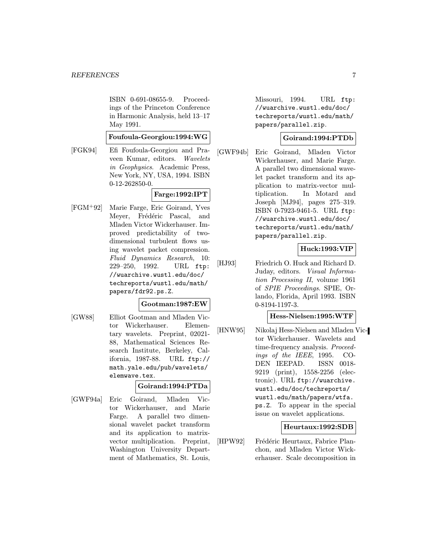ISBN 0-691-08655-9. Proceedings of the Princeton Conference in Harmonic Analysis, held 13–17 May 1991.

## Foufoula-Georgiou:1994:WG

[FGK94] Efi Foufoula-Georgiou and Praveen Kumar, editors. Wavelets in Geophysics. Academic Press, New York, NY, USA, 1994. ISBN 0-12-262850-0.

# Farge:1992:IPT

[FGM<sup>+</sup>92] Marie Farge, Eric Goirand, Yves Meyer, Frédéric Pascal, and Mladen Victor Wickerhauser. Improved predictability of twodimensional turbulent flows using wavelet packet compression. Fluid Dynamics Research, 10: 229–250, 1992. URL ftp: //wuarchive.wustl.edu/doc/ techreports/wustl.edu/math/ papers/fdr92.ps.Z.

## Gootman:1987:EW

[GW88] Elliot Gootman and Mladen Victor Wickerhauser. Elementary wavelets. Preprint, 02021- 88, Mathematical Sciences Research Institute, Berkeley, California, 1987-88. URL ftp:// math.yale.edu/pub/wavelets/ elemwave.tex.

## Goirand:1994:PTDa

[GWF94a] Eric Goirand, Mladen Victor Wickerhauser, and Marie Farge. A parallel two dimensional wavelet packet transform and its application to matrixvector multiplication. Preprint, Washington University Department of Mathematics, St. Louis,

Missouri, 1994. URL ftp: //wuarchive.wustl.edu/doc/ techreports/wustl.edu/math/ papers/parallel.zip.

# Goirand:1994:PTDb

[GWF94b] Eric Goirand, Mladen Victor Wickerhauser, and Marie Farge. A parallel two dimensional wavelet packet transform and its application to matrix-vector multiplication. In Motard and Joseph [MJ94], pages 275–319. ISBN 0-7923-9461-5. URL ftp: //wuarchive.wustl.edu/doc/ techreports/wustl.edu/math/ papers/parallel.zip.

# Huck:1993:VIP

[HJ93] Friedrich O. Huck and Richard D. Juday, editors. Visual Information Processing II, volume 1961 of SPIE Proceedings. SPIE, Orlando, Florida, April 1993. ISBN 0-8194-1197-3.

## Hess-Nielsen:1995:WTF

[HNW95] Nikolaj Hess-Nielsen and Mladen Victor Wickerhauser. Wavelets and time-frequency analysis. Proceedings of the IEEE, 1995. CO-DEN IEEPAD. ISSN 0018- 9219 (print), 1558-2256 (electronic). URL ftp://wuarchive. wustl.edu/doc/techreports/ wustl.edu/math/papers/wtfa. ps.Z. To appear in the special issue on wavelet applications.

## Heurtaux:1992:SDB

[HPW92] Frédéric Heurtaux, Fabrice Planchon, and Mladen Victor Wickerhauser. Scale decomposition in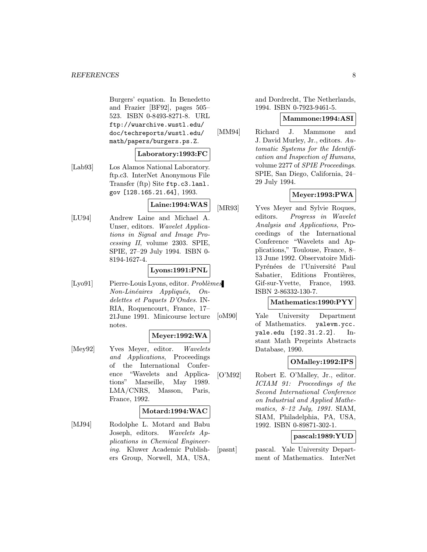Burgers' equation. In Benedetto and Frazier [BF92], pages 505– 523. ISBN 0-8493-8271-8. URL ftp://wuarchive.wustl.edu/ doc/techreports/wustl.edu/ math/papers/burgers.ps.Z.

#### Laboratory:1993:FC

[Lab93] Los Alamos National Laboratory. ftp.c3. InterNet Anonymous File Transfer (ftp) Site ftp.c3.lanl. gov [128.165.21.64], 1993.

# Laine:1994:WAS

[LU94] Andrew Laine and Michael A. Unser, editors. Wavelet Applications in Signal and Image Processing II, volume 2303. SPIE, SPIE, 27–29 July 1994. ISBN 0- 8194-1627-4.

# Lyons:1991:PNL

[Lyo91] Pierre-Louis Lyons, editor. Problèmes Non-Linéaires Appliqués, Ondelettes et Paquets D'Ondes. IN-RIA, Roquencourt, France, 17– 21June 1991. Minicourse lecture notes.

## Meyer:1992:WA

[Mey92] Yves Meyer, editor. Wavelets and Applications, Proceedings of the International Conference "Wavelets and Applications" Marseille, May 1989. LMA/CNRS, Masson, Paris, France, 1992.

#### Motard:1994:WAC

[MJ94] Rodolphe L. Motard and Babu Joseph, editors. Wavelets Applications in Chemical Engineering. Kluwer Academic Publishers Group, Norwell, MA, USA,

and Dordrecht, The Netherlands, 1994. ISBN 0-7923-9461-5.

#### Mammone:1994:ASI

[MM94] Richard J. Mammone and J. David Murley, Jr., editors. Automatic Systems for the Identification and Inspection of Humans, volume 2277 of SPIE Proceedings. SPIE, San Diego, California, 24– 29 July 1994.

# Meyer:1993:PWA

[MR93] Yves Meyer and Sylvie Roques, editors. Progress in Wavelet Analysis and Applications, Proceedings of the International Conference "Wavelets and Applications," Toulouse, France, 8– 13 June 1992. Observatoire Midi-Pyrénées de l'Université Paul Sabatier, Editions Frontières, Gif-sur-Yvette, France, 1993. ISBN 2-86332-130-7.

# Mathematics:1990:PYY

[oM90] Yale University Department of Mathematics. yalevm.ycc. yale.edu [192.31.2.2]. Instant Math Preprints Abstracts Database, 1990.

## OMalley:1992:IPS

[O'M92] Robert E. O'Malley, Jr., editor. ICIAM 91: Proceedings of the Second International Conference on Industrial and Applied Mathematics, 8–12 July, 1991. SIAM, SIAM, Philadelphia, PA, USA, 1992. ISBN 0-89871-302-1.

## pascal:1989:YUD

[pasnt] pascal. Yale University Department of Mathematics. InterNet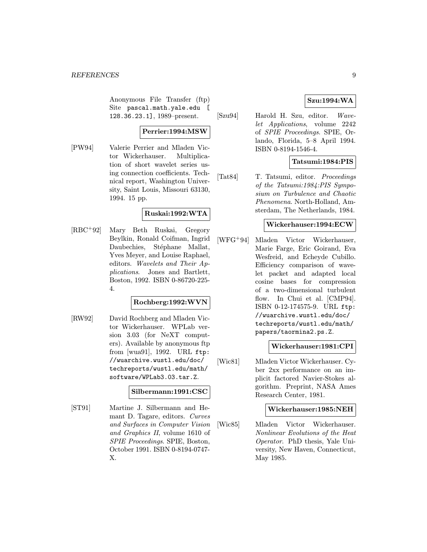Anonymous File Transfer (ftp) Site pascal.math.yale.edu [ 128.36.23.1], 1989–present.

#### Perrier:1994:MSW

[PW94] Valerie Perrier and Mladen Victor Wickerhauser. Multiplication of short wavelet series using connection coefficients. Technical report, Washington University, Saint Louis, Missouri 63130, 1994. 15 pp.

# Ruskai:1992:WTA

[RBC<sup>+</sup>92] Mary Beth Ruskai, Gregory Beylkin, Ronald Coifman, Ingrid Daubechies, Stéphane Mallat, Yves Meyer, and Louise Raphael, editors. Wavelets and Their Applications. Jones and Bartlett, Boston, 1992. ISBN 0-86720-225- 4.

#### Rochberg:1992:WVN

[RW92] David Rochberg and Mladen Victor Wickerhauser. WPLab version 3.03 (for NeXT computers). Available by anonymous ftp from [wua91], 1992. URL ftp: //wuarchive.wustl.edu/doc/ techreports/wustl.edu/math/ software/WPLab3.03.tar.Z.

#### Silbermann:1991:CSC

[ST91] Martine J. Silbermann and Hemant D. Tagare, editors. Curves and Surfaces in Computer Vision and Graphics II, volume 1610 of SPIE Proceedings. SPIE, Boston, October 1991. ISBN 0-8194-0747- X.

# Szu:1994:WA

[Szu94] Harold H. Szu, editor. Wavelet Applications, volume 2242 of SPIE Proceedings. SPIE, Orlando, Florida, 5–8 April 1994. ISBN 0-8194-1546-4.

# Tatsumi:1984:PIS

[Tat84] T. Tatsumi, editor. Proceedings of the Tatsumi:1984:PIS Symposium on Turbulence and Chaotic Phenomena. North-Holland, Amsterdam, The Netherlands, 1984.

#### Wickerhauser:1994:ECW

[WFG<sup>+</sup>94] Mladen Victor Wickerhauser, Marie Farge, Eric Goirand, Eva Wesfreid, and Echeyde Cubillo. Efficiency comparison of wavelet packet and adapted local cosine bases for compression of a two-dimensional turbulent flow. In Chui et al. [CMP94]. ISBN 0-12-174575-9. URL ftp: //wuarchive.wustl.edu/doc/ techreports/wustl.edu/math/ papers/taormina2.ps.Z.

## Wickerhauser:1981:CPI

[Wic81] Mladen Victor Wickerhauser. Cyber 2xx performance on an implicit factored Navier-Stokes algorithm. Preprint, NASA Ames Research Center, 1981.

#### Wickerhauser:1985:NEH

[Wic85] Mladen Victor Wickerhauser. Nonlinear Evolutions of the Heat Operator. PhD thesis, Yale University, New Haven, Connecticut, May 1985.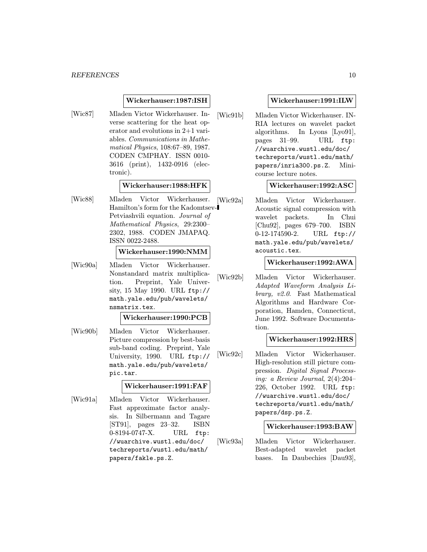#### Wickerhauser:1987:ISH

[Wic87] Mladen Victor Wickerhauser. Inverse scattering for the heat operator and evolutions in 2+1 variables. Communications in Mathematical Physics, 108:67–89, 1987. CODEN CMPHAY. ISSN 0010- 3616 (print), 1432-0916 (electronic).

## Wickerhauser:1988:HFK

[Wic88] Mladen Victor Wickerhauser. Hamilton's form for the Kadomtsev-Petviashvili equation. Journal of Mathematical Physics, 29:2300– 2302, 1988. CODEN JMAPAQ. ISSN 0022-2488.

#### Wickerhauser:1990:NMM

[Wic90a] Mladen Victor Wickerhauser. Nonstandard matrix multiplication. Preprint, Yale University, 15 May 1990. URL ftp:// math.yale.edu/pub/wavelets/ nsmatrix.tex.

#### Wickerhauser:1990:PCB

[Wic90b] Mladen Victor Wickerhauser. Picture compression by best-basis sub-band coding. Preprint, Yale University, 1990. URL ftp:// math.yale.edu/pub/wavelets/ pic.tar.

## Wickerhauser:1991:FAF

[Wic91a] Mladen Victor Wickerhauser. Fast approximate factor analysis. In Silbermann and Tagare [ST91], pages 23–32. ISBN 0-8194-0747-X. URL ftp: //wuarchive.wustl.edu/doc/ techreports/wustl.edu/math/ papers/fakle.ps.Z.

#### Wickerhauser:1991:ILW

[Wic91b] Mladen Victor Wickerhauser. IN-RIA lectures on wavelet packet algorithms. In Lyons [Lyo91], pages 31–99. URL ftp: //wuarchive.wustl.edu/doc/ techreports/wustl.edu/math/ papers/inria300.ps.Z. Minicourse lecture notes.

# Wickerhauser:1992:ASC

[Wic92a] Mladen Victor Wickerhauser. Acoustic signal compression with wavelet packets. In Chui [Chu92], pages 679–700. ISBN 0-12-174590-2. URL ftp:// math.yale.edu/pub/wavelets/ acoustic.tex.

#### Wickerhauser:1992:AWA

[Wic92b] Mladen Victor Wickerhauser. Adapted Waveform Analysis Library, v2.0. Fast Mathematical Algorithms and Hardware Corporation, Hamden, Connecticut, June 1992. Software Documentation.

#### Wickerhauser:1992:HRS

[Wic92c] Mladen Victor Wickerhauser. High-resolution still picture compression. Digital Signal Processing: a Review Journal, 2(4):204– 226, October 1992. URL ftp: //wuarchive.wustl.edu/doc/ techreports/wustl.edu/math/ papers/dsp.ps.Z.

## Wickerhauser:1993:BAW

[Wic93a] Mladen Victor Wickerhauser. Best-adapted wavelet packet bases. In Daubechies [Dau93],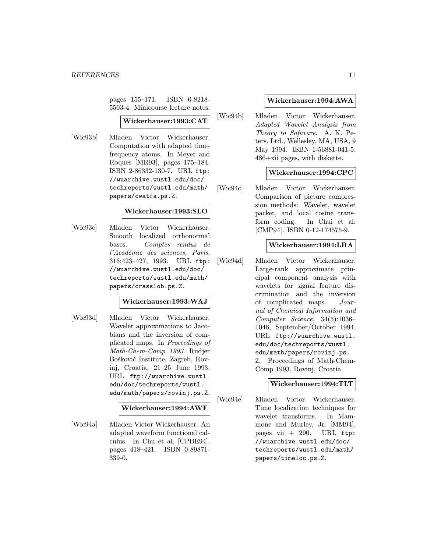pages 155–171. ISBN 0-8218- 5503-4. Minicourse lecture notes.

#### Wickerhauser:1993:CAT

[Wic93b] Mladen Victor Wickerhauser. Computation with adapted timefrequency atoms. In Meyer and Roques [MR93], pages 175–184. ISBN 2-86332-130-7. URL ftp: //wuarchive.wustl.edu/doc/ techreports/wustl.edu/math/ papers/cwatfa.ps.Z.

#### Wickerhauser:1993:SLO

[Wic93c] Mladen Victor Wickerhauser. Smooth localized orthonormal bases. Comptes rendus de l'Académie des sciences, Paris, 316:423–427, 1993. URL ftp: //wuarchive.wustl.edu/doc/ techreports/wustl.edu/math/ papers/crasslob.ps.Z.

## Wickerhauser:1993:WAJ

[Wic93d] Mladen Victor Wickerhauser. Wavelet approximations to Jacobians and the inversion of complicated maps. In Proceedings of Math-Chem-Comp 1993. Rudjer Bošković Institute, Zagreb, Rovinj, Croatia, 21–25 June 1993. URL ftp://wuarchive.wustl. edu/doc/techreports/wustl. edu/math/papers/rovinj.ps.Z.

#### Wickerhauser:1994:AWF

[Wic94a] Mladen Victor Wickerhauser. An adapted waveform functional calculus. In Chu et al. [CPBE94], pages 418–421. ISBN 0-89871- 339-0.

#### Wickerhauser:1994:AWA

[Wic94b] Mladen Victor Wickerhauser. Adapted Wavelet Analysis from Theory to Software. A. K. Peters, Ltd., Wellesley, MA, USA, 9 May 1994. ISBN 1-56881-041-5. 486+xii pages, with diskette.

## Wickerhauser:1994:CPC

[Wic94c] Mladen Victor Wickerhauser. Comparison of picture compression methods: Wavelet, wavelet packet, and local cosine transform coding. In Chui et al. [CMP94]. ISBN 0-12-174575-9.

#### Wickerhauser:1994:LRA

[Wic94d] Mladen Victor Wickerhauser. Large-rank approximate principal component analysis with wavelets for signal feature discrimination and the inversion of complicated maps. Journal of Chemical Information and Computer Science, 34(5):1036– 1046, September/October 1994. URL ftp://wuarchive.wustl. edu/doc/techreports/wustl. edu/math/papers/rovinj.ps. Z. Proceedings of Math-Chem-Comp 1993, Rovinj, Croatia.

#### Wickerhauser:1994:TLT

[Wic94e] Mladen Victor Wickerhauser. Time localization techniques for wavelet transforms. In Mammone and Murley, Jr. [MM94], pages vii  $+290$ . URL ftp: //wuarchive.wustl.edu/doc/ techreports/wustl.edu/math/ papers/timeloc.ps.Z.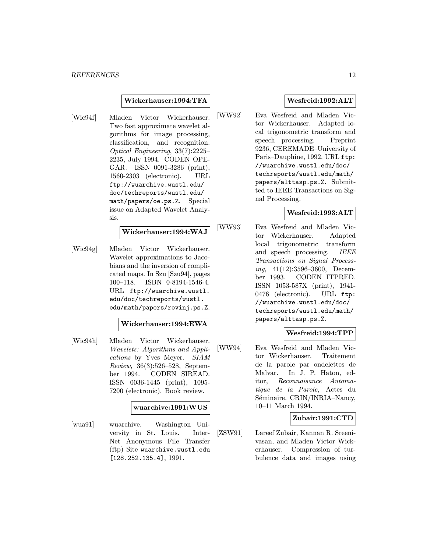#### Wickerhauser:1994:TFA

[Wic94f] Mladen Victor Wickerhauser. Two fast approximate wavelet algorithms for image processing, classification, and recognition. Optical Engineering, 33(7):2225– 2235, July 1994. CODEN OPE-GAR. ISSN 0091-3286 (print), 1560-2303 (electronic). URL ftp://wuarchive.wustl.edu/ doc/techreports/wustl.edu/ math/papers/oe.ps.Z. Special issue on Adapted Wavelet Analysis.

## Wickerhauser:1994:WAJ

[Wic94g] Mladen Victor Wickerhauser. Wavelet approximations to Jacobians and the inversion of complicated maps. In Szu [Szu94], pages 100–118. ISBN 0-8194-1546-4. URL ftp://wuarchive.wustl. edu/doc/techreports/wustl. edu/math/papers/rovinj.ps.Z.

#### Wickerhauser:1994:EWA

[Wic94h] Mladen Victor Wickerhauser. Wavelets: Algorithms and Applications by Yves Meyer. SIAM Review, 36(3):526–528, September 1994. CODEN SIREAD. ISSN 0036-1445 (print), 1095- 7200 (electronic). Book review.

#### wuarchive:1991:WUS

[wua91] wuarchive. Washington University in St. Louis. Inter-Net Anonymous File Transfer (ftp) Site wuarchive.wustl.edu [128.252.135.4], 1991.

# Wesfreid:1992:ALT

[WW92] Eva Wesfreid and Mladen Victor Wickerhauser. Adapted local trigonometric transform and speech processing. Preprint 9236, CEREMADE–University of Paris–Dauphine, 1992. URL ftp: //wuarchive.wustl.edu/doc/ techreports/wustl.edu/math/ papers/alttasp.ps.Z. Submitted to IEEE Transactions on Signal Processing.

## Wesfreid:1993:ALT

[WW93] Eva Wesfreid and Mladen Victor Wickerhauser. Adapted local trigonometric transform and speech processing. IEEE Transactions on Signal Processing, 41(12):3596–3600, December 1993. CODEN ITPRED. ISSN 1053-587X (print), 1941- 0476 (electronic). URL ftp: //wuarchive.wustl.edu/doc/ techreports/wustl.edu/math/ papers/alttasp.ps.Z.

# Wesfreid:1994:TPP

[WW94] Eva Wesfreid and Mladen Victor Wickerhauser. Traitement de la parole par ondelettes de Malvar. In J. P. Haton, editor, Reconnaisance Automatique de la Parole, Actes du Séminaire. CRIN/INRIA-Nancy, 10–11 March 1994.

# Zubair:1991:CTD

[ZSW91] Lareef Zubair, Kannan R. Sreenivasan, and Mladen Victor Wickerhauser. Compression of turbulence data and images using